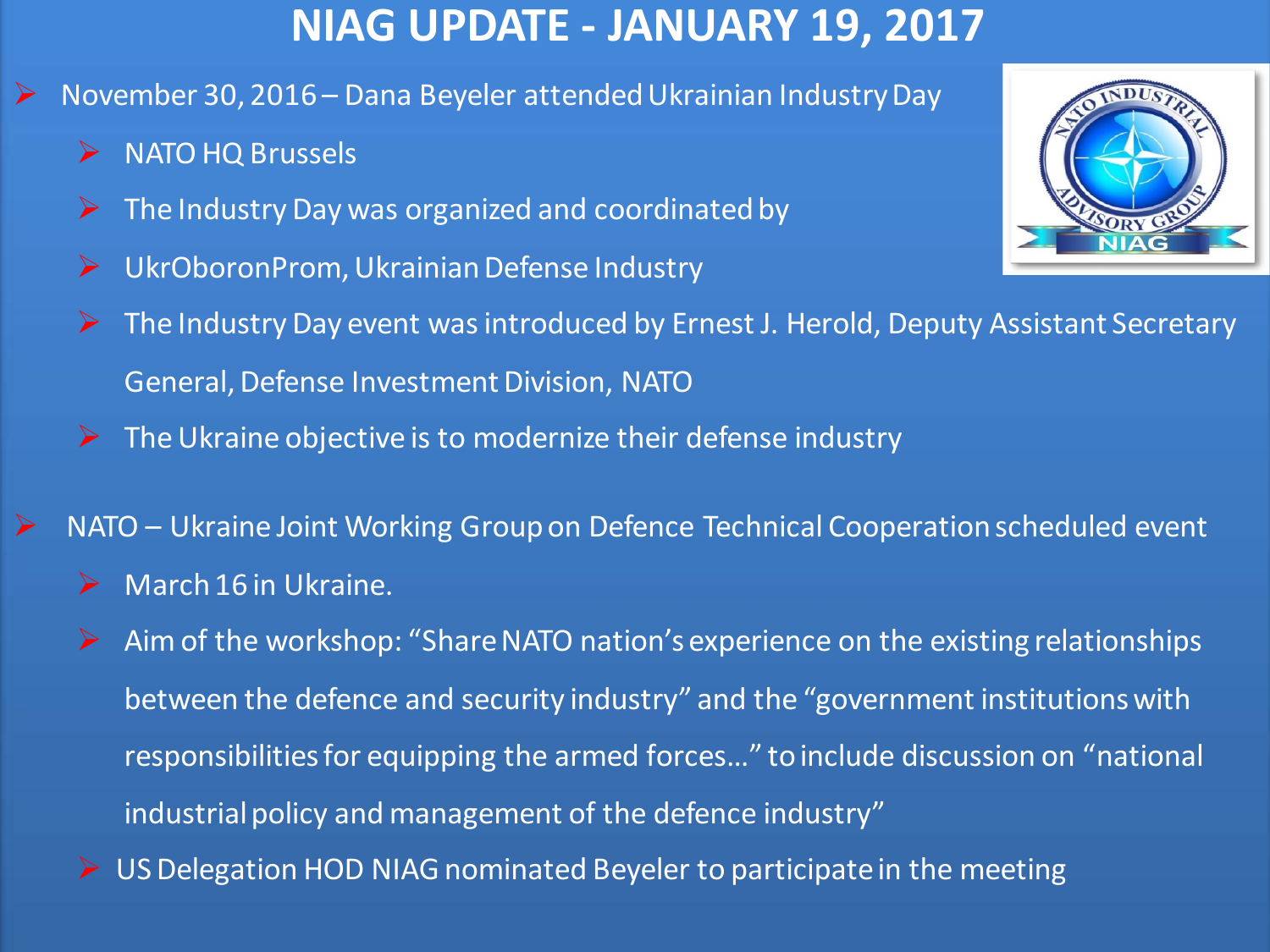## **NIAG UPDATE - JANUARY 19, 2017**

- November 30, 2016 Dana Beyeler attended Ukrainian Industry Day
	- $\triangleright$  NATO HQ Brussels
	- $\triangleright$  The Industry Day was organized and coordinated by
	- ▶ UkrOboronProm, Ukrainian Defense Industry
	- $\triangleright$  The Industry Day event was introduced by Ernest J. Herold, Deputy Assistant Secretary General, Defense Investment Division, NATO
	- $\triangleright$  The Ukraine objective is to modernize their defense industry
	- NATO Ukraine Joint Working Group on Defence Technical Cooperation scheduled event
		- $\triangleright$  March 16 in Ukraine.
		- Aim of the workshop: "Share NATO nation's experience on the existing relationships between the defence and security industry" and the "government institutions with responsibilities for equipping the armed forces…" to include discussion on "national industrial policy and management of the defence industry"
		- ▶ US Delegation HOD NIAG nominated Beyeler to participate in the meeting